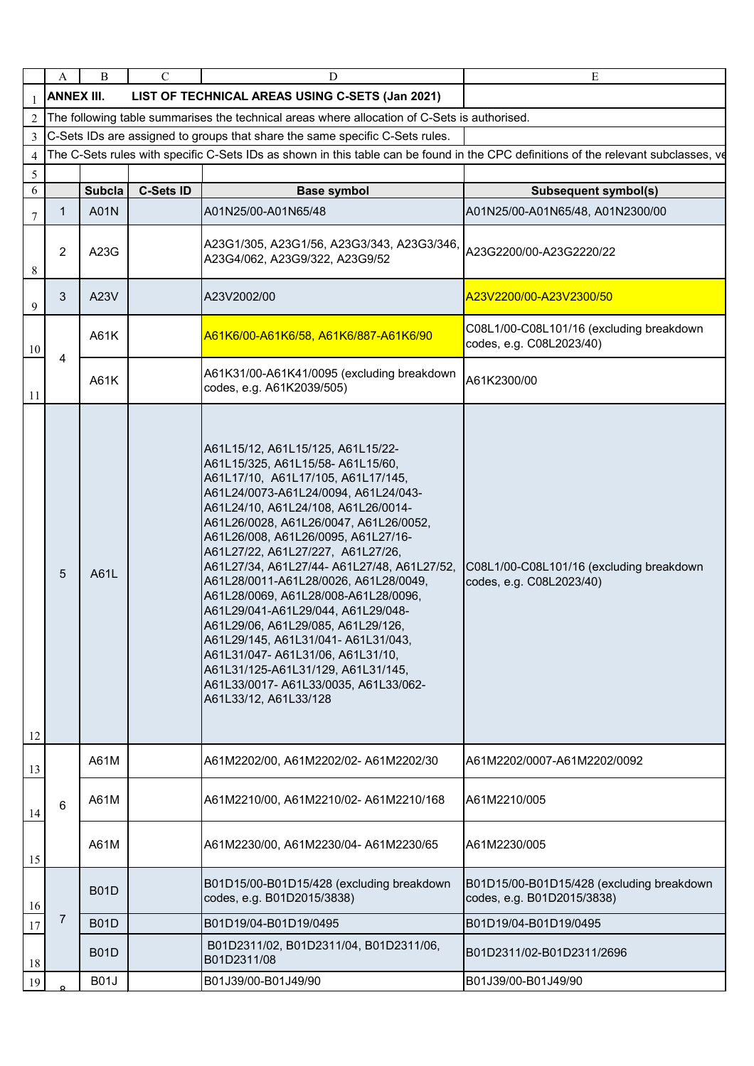|                | A                 | B                                                                                            | $\mathcal{C}$    | D                                                                                                                                                                                                                                                                                                                                                                                                                                                                                                                                                                                                                                                                                                             | E                                                                                                                                   |  |  |  |
|----------------|-------------------|----------------------------------------------------------------------------------------------|------------------|---------------------------------------------------------------------------------------------------------------------------------------------------------------------------------------------------------------------------------------------------------------------------------------------------------------------------------------------------------------------------------------------------------------------------------------------------------------------------------------------------------------------------------------------------------------------------------------------------------------------------------------------------------------------------------------------------------------|-------------------------------------------------------------------------------------------------------------------------------------|--|--|--|
|                | <b>ANNEX III.</b> |                                                                                              |                  | LIST OF TECHNICAL AREAS USING C-SETS (Jan 2021)                                                                                                                                                                                                                                                                                                                                                                                                                                                                                                                                                                                                                                                               |                                                                                                                                     |  |  |  |
| $\overline{2}$ |                   | The following table summarises the technical areas where allocation of C-Sets is authorised. |                  |                                                                                                                                                                                                                                                                                                                                                                                                                                                                                                                                                                                                                                                                                                               |                                                                                                                                     |  |  |  |
| 3              |                   | C-Sets IDs are assigned to groups that share the same specific C-Sets rules.                 |                  |                                                                                                                                                                                                                                                                                                                                                                                                                                                                                                                                                                                                                                                                                                               |                                                                                                                                     |  |  |  |
| 4<br>5         |                   |                                                                                              |                  |                                                                                                                                                                                                                                                                                                                                                                                                                                                                                                                                                                                                                                                                                                               | The C-Sets rules with specific C-Sets IDs as shown in this table can be found in the CPC definitions of the relevant subclasses, ve |  |  |  |
| 6              |                   | <b>Subcla</b>                                                                                | <b>C-Sets ID</b> | <b>Base symbol</b>                                                                                                                                                                                                                                                                                                                                                                                                                                                                                                                                                                                                                                                                                            | <b>Subsequent symbol(s)</b>                                                                                                         |  |  |  |
| 7              | $\mathbf{1}$      | A01N                                                                                         |                  | A01N25/00-A01N65/48                                                                                                                                                                                                                                                                                                                                                                                                                                                                                                                                                                                                                                                                                           | A01N25/00-A01N65/48, A01N2300/00                                                                                                    |  |  |  |
| 8              | 2                 | A23G                                                                                         |                  | A23G1/305, A23G1/56, A23G3/343, A23G3/346,<br>A23G4/062, A23G9/322, A23G9/52                                                                                                                                                                                                                                                                                                                                                                                                                                                                                                                                                                                                                                  | A23G2200/00-A23G2220/22                                                                                                             |  |  |  |
| 9              | 3                 | A23V                                                                                         |                  | A23V2002/00                                                                                                                                                                                                                                                                                                                                                                                                                                                                                                                                                                                                                                                                                                   | A23V2200/00-A23V2300/50                                                                                                             |  |  |  |
| 10             | 4                 | A61K                                                                                         |                  | A61K6/00-A61K6/58, A61K6/887-A61K6/90                                                                                                                                                                                                                                                                                                                                                                                                                                                                                                                                                                                                                                                                         | C08L1/00-C08L101/16 (excluding breakdown<br>codes, e.g. C08L2023/40)                                                                |  |  |  |
| 11             |                   | A61K                                                                                         |                  | A61K31/00-A61K41/0095 (excluding breakdown<br>codes, e.g. A61K2039/505)                                                                                                                                                                                                                                                                                                                                                                                                                                                                                                                                                                                                                                       | A61K2300/00                                                                                                                         |  |  |  |
| 12             | 5                 | A61L                                                                                         |                  | A61L15/12, A61L15/125, A61L15/22-<br>A61L15/325, A61L15/58-A61L15/60,<br>A61L17/10, A61L17/105, A61L17/145,<br>A61L24/0073-A61L24/0094, A61L24/043-<br>A61L24/10, A61L24/108, A61L26/0014-<br>A61L26/0028, A61L26/0047, A61L26/0052,<br>A61L26/008, A61L26/0095, A61L27/16-<br>A61L27/22, A61L27/227, A61L27/26,<br>A61L27/34, A61L27/44- A61L27/48, A61L27/52,<br>A61L28/0011-A61L28/0026, A61L28/0049,<br>A61L28/0069, A61L28/008-A61L28/0096,<br>A61L29/041-A61L29/044, A61L29/048-<br>A61L29/06, A61L29/085, A61L29/126,<br>A61L29/145, A61L31/041-A61L31/043,<br>A61L31/047-A61L31/06, A61L31/10,<br>A61L31/125-A61L31/129, A61L31/145,<br>A61L33/0017-A61L33/0035, A61L33/062-<br>A61L33/12, A61L33/128 | C08L1/00-C08L101/16 (excluding breakdown<br>codes, e.g. C08L2023/40)                                                                |  |  |  |
| 13             |                   | A61M                                                                                         |                  | A61M2202/00, A61M2202/02- A61M2202/30                                                                                                                                                                                                                                                                                                                                                                                                                                                                                                                                                                                                                                                                         | A61M2202/0007-A61M2202/0092                                                                                                         |  |  |  |
| 14             | $6\phantom{1}$    | A61M                                                                                         |                  | A61M2210/00, A61M2210/02- A61M2210/168                                                                                                                                                                                                                                                                                                                                                                                                                                                                                                                                                                                                                                                                        | A61M2210/005                                                                                                                        |  |  |  |
| 15             |                   | A61M                                                                                         |                  | A61M2230/00, A61M2230/04-A61M2230/65                                                                                                                                                                                                                                                                                                                                                                                                                                                                                                                                                                                                                                                                          | A61M2230/005                                                                                                                        |  |  |  |
| 16             |                   | <b>B01D</b>                                                                                  |                  | B01D15/00-B01D15/428 (excluding breakdown<br>codes, e.g. B01D2015/3838)                                                                                                                                                                                                                                                                                                                                                                                                                                                                                                                                                                                                                                       | B01D15/00-B01D15/428 (excluding breakdown<br>codes, e.g. B01D2015/3838)                                                             |  |  |  |
| 17             | 7                 | <b>B01D</b>                                                                                  |                  | B01D19/04-B01D19/0495                                                                                                                                                                                                                                                                                                                                                                                                                                                                                                                                                                                                                                                                                         | B01D19/04-B01D19/0495                                                                                                               |  |  |  |
| 18             |                   | <b>B01D</b>                                                                                  |                  | B01D2311/02, B01D2311/04, B01D2311/06,<br>B01D2311/08                                                                                                                                                                                                                                                                                                                                                                                                                                                                                                                                                                                                                                                         | B01D2311/02-B01D2311/2696                                                                                                           |  |  |  |
| 19             |                   | <b>B01J</b>                                                                                  |                  | B01J39/00-B01J49/90                                                                                                                                                                                                                                                                                                                                                                                                                                                                                                                                                                                                                                                                                           | B01J39/00-B01J49/90                                                                                                                 |  |  |  |
|                |                   |                                                                                              |                  |                                                                                                                                                                                                                                                                                                                                                                                                                                                                                                                                                                                                                                                                                                               |                                                                                                                                     |  |  |  |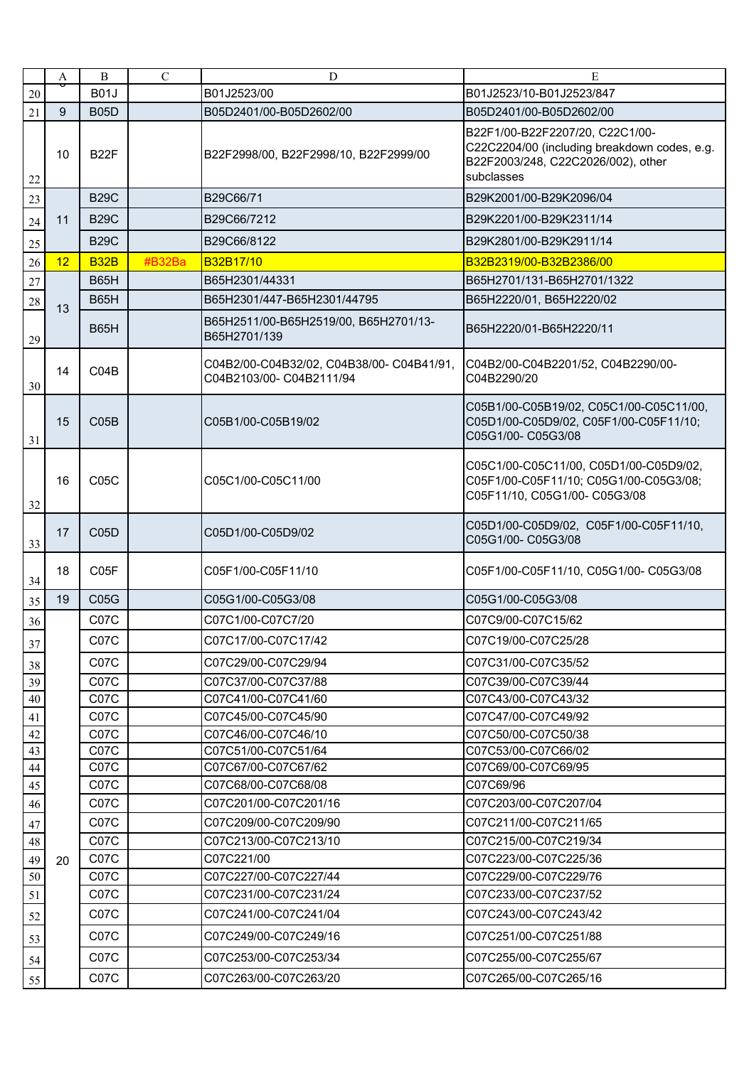|        | A               | $\bf{B}$    | $\mathbf C$ | $\mathbf D$                                                         | E                                                                                                                                   |
|--------|-----------------|-------------|-------------|---------------------------------------------------------------------|-------------------------------------------------------------------------------------------------------------------------------------|
| $20\,$ |                 | <b>B01J</b> |             | B01J2523/00                                                         | B01J2523/10-B01J2523/847                                                                                                            |
| 21     | 9               | <b>B05D</b> |             | B05D2401/00-B05D2602/00                                             | B05D2401/00-B05D2602/00                                                                                                             |
| $22\,$ | 10              | <b>B22F</b> |             | B22F2998/00, B22F2998/10, B22F2999/00                               | B22F1/00-B22F2207/20, C22C1/00-<br>C22C2204/00 (including breakdown codes, e.g.<br>B22F2003/248, C22C2026/002), other<br>subclasses |
| 23     |                 | <b>B29C</b> |             | B29C66/71                                                           | B29K2001/00-B29K2096/04                                                                                                             |
| $24\,$ | 11              | <b>B29C</b> |             | B29C66/7212                                                         | B29K2201/00-B29K2311/14                                                                                                             |
| 25     |                 | <b>B29C</b> |             | B29C66/8122                                                         | B29K2801/00-B29K2911/14                                                                                                             |
| 26     | 12 <sup>2</sup> | <b>B32B</b> | #B32Ba      | B32B17/10                                                           | B32B2319/00-B32B2386/00                                                                                                             |
| $27\,$ |                 | <b>B65H</b> |             | B65H2301/44331                                                      | B65H2701/131-B65H2701/1322                                                                                                          |
| 28     |                 | <b>B65H</b> |             | B65H2301/447-B65H2301/44795                                         | B65H2220/01, B65H2220/02                                                                                                            |
| 29     | 13              | <b>B65H</b> |             | B65H2511/00-B65H2519/00, B65H2701/13-<br>B65H2701/139               | B65H2220/01-B65H2220/11                                                                                                             |
| 30     | 14              | CO4B        |             | C04B2/00-C04B32/02, C04B38/00-C04B41/91,<br>C04B2103/00-C04B2111/94 | C04B2/00-C04B2201/52, C04B2290/00-<br>C04B2290/20                                                                                   |
| 31     | 15              | CO5B        |             | C05B1/00-C05B19/02                                                  | C05B1/00-C05B19/02, C05C1/00-C05C11/00,<br>C05D1/00-C05D9/02, C05F1/00-C05F11/10;<br>C05G1/00- C05G3/08                             |
| 32     | 16              | C05C        |             | C05C1/00-C05C11/00                                                  | C05C1/00-C05C11/00, C05D1/00-C05D9/02,<br>C05F1/00-C05F11/10; C05G1/00-C05G3/08;<br>C05F11/10, C05G1/00- C05G3/08                   |
| 33     | 17              | C05D        |             | C05D1/00-C05D9/02                                                   | C05D1/00-C05D9/02, C05F1/00-C05F11/10,<br>C05G1/00- C05G3/08                                                                        |
| 34     | 18              | C05F        |             | C05F1/00-C05F11/10                                                  | C05F1/00-C05F11/10, C05G1/00- C05G3/08                                                                                              |
| 35     | 19              | C05G        |             | C05G1/00-C05G3/08                                                   | C05G1/00-C05G3/08                                                                                                                   |
| 36     |                 | C07C        |             | C07C1/00-C07C7/20                                                   | C07C9/00-C07C15/62                                                                                                                  |
| 37     |                 | C07C        |             | C07C17/00-C07C17/42                                                 | C07C19/00-C07C25/28                                                                                                                 |
| 38     |                 | C07C        |             | C07C29/00-C07C29/94                                                 | C07C31/00-C07C35/52                                                                                                                 |
| 39     |                 | C07C        |             | C07C37/00-C07C37/88                                                 | C07C39/00-C07C39/44                                                                                                                 |
| $40\,$ |                 | C07C        |             | C07C41/00-C07C41/60                                                 | C07C43/00-C07C43/32                                                                                                                 |
| 41     |                 | C07C        |             | C07C45/00-C07C45/90                                                 | C07C47/00-C07C49/92                                                                                                                 |
| 42     |                 | C07C        |             | C07C46/00-C07C46/10                                                 | C07C50/00-C07C50/38                                                                                                                 |
| 43     |                 | C07C        |             | C07C51/00-C07C51/64                                                 | C07C53/00-C07C66/02                                                                                                                 |
| 44     |                 | C07C        |             | C07C67/00-C07C67/62                                                 | C07C69/00-C07C69/95                                                                                                                 |
| 45     |                 | C07C        |             | C07C68/00-C07C68/08                                                 | C07C69/96                                                                                                                           |
| 46     |                 | C07C        |             | C07C201/00-C07C201/16                                               | C07C203/00-C07C207/04                                                                                                               |
| 47     |                 | C07C        |             | C07C209/00-C07C209/90                                               | C07C211/00-C07C211/65                                                                                                               |
| 48     |                 | C07C        |             | C07C213/00-C07C213/10                                               | C07C215/00-C07C219/34                                                                                                               |
| 49     | 20              | C07C        |             | C07C221/00                                                          | C07C223/00-C07C225/36                                                                                                               |
| $50\,$ |                 | C07C        |             | C07C227/00-C07C227/44                                               | C07C229/00-C07C229/76                                                                                                               |
| 51     |                 | C07C        |             | C07C231/00-C07C231/24                                               | C07C233/00-C07C237/52                                                                                                               |
| 52     |                 | C07C        |             | C07C241/00-C07C241/04                                               | C07C243/00-C07C243/42                                                                                                               |
| 53     |                 | C07C        |             | C07C249/00-C07C249/16                                               | C07C251/00-C07C251/88                                                                                                               |
| 54     |                 | C07C        |             | C07C253/00-C07C253/34                                               | C07C255/00-C07C255/67                                                                                                               |
| 55     |                 | C07C        |             | C07C263/00-C07C263/20                                               | C07C265/00-C07C265/16                                                                                                               |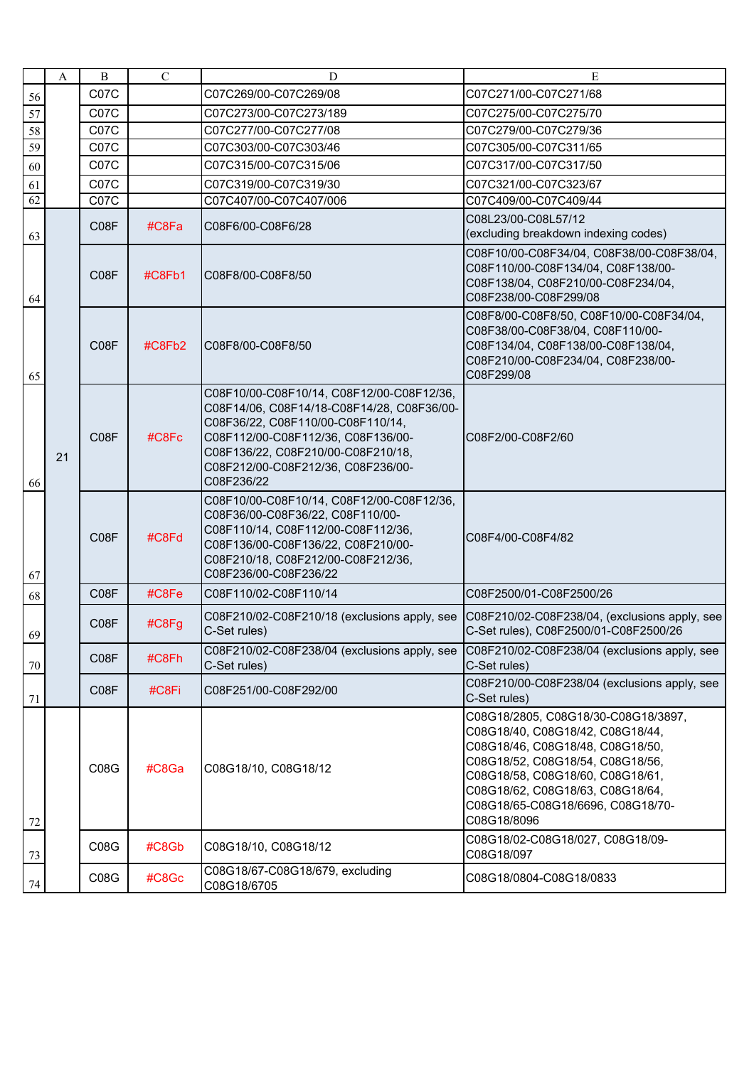|                 | A  | B                 | $\mathbf C$ | D                                                                                                                                                                                                                                                            | E                                                                                                                                                                                                                                                                           |
|-----------------|----|-------------------|-------------|--------------------------------------------------------------------------------------------------------------------------------------------------------------------------------------------------------------------------------------------------------------|-----------------------------------------------------------------------------------------------------------------------------------------------------------------------------------------------------------------------------------------------------------------------------|
| 56              |    | C07C              |             | C07C269/00-C07C269/08                                                                                                                                                                                                                                        | C07C271/00-C07C271/68                                                                                                                                                                                                                                                       |
| 57              |    | C07C              |             | C07C273/00-C07C273/189                                                                                                                                                                                                                                       | C07C275/00-C07C275/70                                                                                                                                                                                                                                                       |
| 58              |    | C07C              |             | C07C277/00-C07C277/08                                                                                                                                                                                                                                        | C07C279/00-C07C279/36                                                                                                                                                                                                                                                       |
| 59              |    | C07C              |             | C07C303/00-C07C303/46                                                                                                                                                                                                                                        | C07C305/00-C07C311/65                                                                                                                                                                                                                                                       |
| 60              |    | C07C              |             | C07C315/00-C07C315/06                                                                                                                                                                                                                                        | C07C317/00-C07C317/50                                                                                                                                                                                                                                                       |
| 61              |    | C <sub>07</sub> C |             | C07C319/00-C07C319/30                                                                                                                                                                                                                                        | C07C321/00-C07C323/67                                                                                                                                                                                                                                                       |
| $\overline{62}$ |    | C07C              |             | C07C407/00-C07C407/006                                                                                                                                                                                                                                       | C07C409/00-C07C409/44                                                                                                                                                                                                                                                       |
| 63              |    | C <sub>0</sub> 8F | #C8Fa       | C08F6/00-C08F6/28                                                                                                                                                                                                                                            | C08L23/00-C08L57/12<br>(excluding breakdown indexing codes)                                                                                                                                                                                                                 |
| 64              |    | C08F              | #C8Fb1      | C08F8/00-C08F8/50                                                                                                                                                                                                                                            | C08F10/00-C08F34/04, C08F38/00-C08F38/04,<br>C08F110/00-C08F134/04, C08F138/00-<br>C08F138/04, C08F210/00-C08F234/04,<br>C08F238/00-C08F299/08                                                                                                                              |
| 65              |    | C08F              | #C8Fb2      | C08F8/00-C08F8/50                                                                                                                                                                                                                                            | C08F8/00-C08F8/50, C08F10/00-C08F34/04,<br>C08F38/00-C08F38/04, C08F110/00-<br>C08F134/04, C08F138/00-C08F138/04,<br>C08F210/00-C08F234/04, C08F238/00-<br>C08F299/08                                                                                                       |
| 66              | 21 | C08F              | #C8Fc       | C08F10/00-C08F10/14, C08F12/00-C08F12/36,<br>C08F14/06, C08F14/18-C08F14/28, C08F36/00-<br>C08F36/22, C08F110/00-C08F110/14,<br>C08F112/00-C08F112/36, C08F136/00-<br>C08F136/22, C08F210/00-C08F210/18,<br>C08F212/00-C08F212/36, C08F236/00-<br>C08F236/22 | C08F2/00-C08F2/60                                                                                                                                                                                                                                                           |
| 67              |    | C08F              | #C8Fd       | C08F10/00-C08F10/14, C08F12/00-C08F12/36,<br>C08F36/00-C08F36/22, C08F110/00-<br>C08F110/14, C08F112/00-C08F112/36,<br>C08F136/00-C08F136/22, C08F210/00-<br>C08F210/18, C08F212/00-C08F212/36,<br>C08F236/00-C08F236/22                                     | C08F4/00-C08F4/82                                                                                                                                                                                                                                                           |
| 68              |    | C08F              | #C8Fe       | C08F110/02-C08F110/14                                                                                                                                                                                                                                        | C08F2500/01-C08F2500/26                                                                                                                                                                                                                                                     |
| 69              |    | C08F              | #C8Fg       | C08F210/02-C08F210/18 (exclusions apply, see<br>C-Set rules)                                                                                                                                                                                                 | C08F210/02-C08F238/04, (exclusions apply, see<br>C-Set rules), C08F2500/01-C08F2500/26                                                                                                                                                                                      |
| 70              |    | C08F              | #C8Fh       | C08F210/02-C08F238/04 (exclusions apply, see<br>C-Set rules)                                                                                                                                                                                                 | C08F210/02-C08F238/04 (exclusions apply, see<br>C-Set rules)                                                                                                                                                                                                                |
| 71              |    | C08F              | #C8Fi       | C08F251/00-C08F292/00                                                                                                                                                                                                                                        | C08F210/00-C08F238/04 (exclusions apply, see<br>C-Set rules)                                                                                                                                                                                                                |
| 72              |    | <b>C08G</b>       | #C8Ga       | C08G18/10, C08G18/12                                                                                                                                                                                                                                         | C08G18/2805, C08G18/30-C08G18/3897,<br>C08G18/40, C08G18/42, C08G18/44,<br>C08G18/46, C08G18/48, C08G18/50,<br>C08G18/52, C08G18/54, C08G18/56,<br>C08G18/58, C08G18/60, C08G18/61,<br>C08G18/62, C08G18/63, C08G18/64,<br>C08G18/65-C08G18/6696, C08G18/70-<br>C08G18/8096 |
| 73              |    | <b>C08G</b>       | #C8Gb       | C08G18/10, C08G18/12                                                                                                                                                                                                                                         | C08G18/02-C08G18/027, C08G18/09-<br>C08G18/097                                                                                                                                                                                                                              |
| 74              |    | C08G              | #C8Gc       | C08G18/67-C08G18/679, excluding<br>C08G18/6705                                                                                                                                                                                                               | C08G18/0804-C08G18/0833                                                                                                                                                                                                                                                     |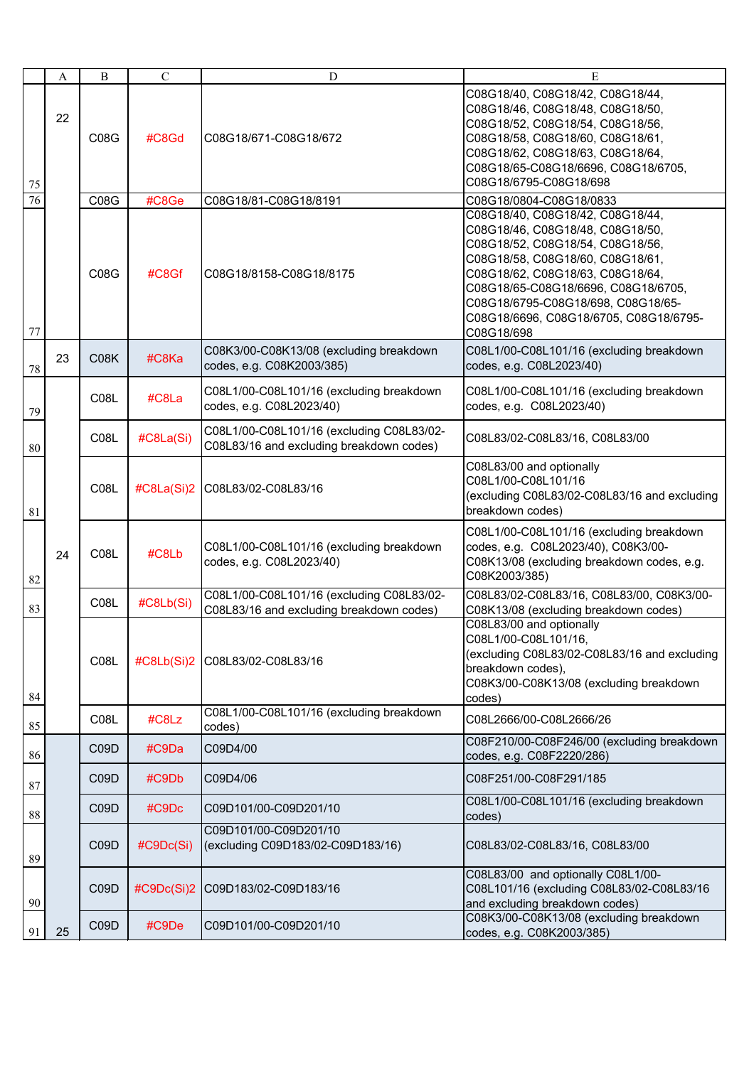|                 | A  | B                 | $\mathbf C$ | D                                                                                     | E                                                                                                                                                                                                                                                                                                                     |
|-----------------|----|-------------------|-------------|---------------------------------------------------------------------------------------|-----------------------------------------------------------------------------------------------------------------------------------------------------------------------------------------------------------------------------------------------------------------------------------------------------------------------|
| 75              | 22 | <b>C08G</b>       | #C8Gd       | C08G18/671-C08G18/672                                                                 | C08G18/40, C08G18/42, C08G18/44,<br>C08G18/46, C08G18/48, C08G18/50,<br>C08G18/52, C08G18/54, C08G18/56,<br>C08G18/58, C08G18/60, C08G18/61,<br>C08G18/62, C08G18/63, C08G18/64,<br>C08G18/65-C08G18/6696, C08G18/6705,<br>C08G18/6795-C08G18/698                                                                     |
| $\overline{76}$ |    | C08G              | #C8Ge       | C08G18/81-C08G18/8191                                                                 | C08G18/0804-C08G18/0833                                                                                                                                                                                                                                                                                               |
| 77              |    | <b>C08G</b>       | #C8Gf       | C08G18/8158-C08G18/8175                                                               | C08G18/40, C08G18/42, C08G18/44,<br>C08G18/46, C08G18/48, C08G18/50,<br>C08G18/52, C08G18/54, C08G18/56,<br>C08G18/58, C08G18/60, C08G18/61,<br>C08G18/62, C08G18/63, C08G18/64,<br>C08G18/65-C08G18/6696, C08G18/6705,<br>C08G18/6795-C08G18/698, C08G18/65-<br>C08G18/6696, C08G18/6705, C08G18/6795-<br>C08G18/698 |
| 78              | 23 | C08K              | #C8Ka       | C08K3/00-C08K13/08 (excluding breakdown<br>codes, e.g. C08K2003/385)                  | C08L1/00-C08L101/16 (excluding breakdown<br>codes, e.g. C08L2023/40)                                                                                                                                                                                                                                                  |
| 79              |    | C08L              | #C8La       | C08L1/00-C08L101/16 (excluding breakdown<br>codes, e.g. C08L2023/40)                  | C08L1/00-C08L101/16 (excluding breakdown<br>codes, e.g. C08L2023/40)                                                                                                                                                                                                                                                  |
| 80              |    | C <sub>0</sub> 8L | #C8La(Si)   | C08L1/00-C08L101/16 (excluding C08L83/02-<br>C08L83/16 and excluding breakdown codes) | C08L83/02-C08L83/16, C08L83/00                                                                                                                                                                                                                                                                                        |
| 81              |    | C08L              | #C8La(Si)2  | C08L83/02-C08L83/16                                                                   | C08L83/00 and optionally<br>C08L1/00-C08L101/16<br>(excluding C08L83/02-C08L83/16 and excluding<br>breakdown codes)                                                                                                                                                                                                   |
| 82              | 24 | C08L              | #C8Lb       | C08L1/00-C08L101/16 (excluding breakdown<br>codes, e.g. C08L2023/40)                  | C08L1/00-C08L101/16 (excluding breakdown<br>codes, e.g. C08L2023/40), C08K3/00-<br>C08K13/08 (excluding breakdown codes, e.g.<br>C08K2003/385)                                                                                                                                                                        |
| 83              |    | C08L              | #C8Lb(Si)   | C08L1/00-C08L101/16 (excluding C08L83/02-<br>C08L83/16 and excluding breakdown codes) | C08L83/02-C08L83/16, C08L83/00, C08K3/00-<br>C08K13/08 (excluding breakdown codes)                                                                                                                                                                                                                                    |
| 84              |    | C08L              | #C8Lb(Si)2  | C08L83/02-C08L83/16                                                                   | C08L83/00 and optionally<br>C08L1/00-C08L101/16,<br>(excluding C08L83/02-C08L83/16 and excluding<br>breakdown codes),<br>C08K3/00-C08K13/08 (excluding breakdown<br>codes)                                                                                                                                            |
| 85              |    | C08L              | #C8Lz       | C08L1/00-C08L101/16 (excluding breakdown<br>codes)                                    | C08L2666/00-C08L2666/26                                                                                                                                                                                                                                                                                               |
| 86              |    | C09D              | #C9Da       | C09D4/00                                                                              | C08F210/00-C08F246/00 (excluding breakdown<br>codes, e.g. C08F2220/286)                                                                                                                                                                                                                                               |
| 87              |    | C09D              | #C9Db       | C09D4/06                                                                              | C08F251/00-C08F291/185                                                                                                                                                                                                                                                                                                |
| 88              |    | C09D              | #C9Dc       | C09D101/00-C09D201/10                                                                 | C08L1/00-C08L101/16 (excluding breakdown<br>codes)                                                                                                                                                                                                                                                                    |
| 89              |    | C09D              | #C9Dc(Si)   | C09D101/00-C09D201/10<br>(excluding C09D183/02-C09D183/16)                            | C08L83/02-C08L83/16, C08L83/00                                                                                                                                                                                                                                                                                        |
| 90              |    | C09D              | #C9Dc(Si)2  | C09D183/02-C09D183/16                                                                 | C08L83/00 and optionally C08L1/00-<br>C08L101/16 (excluding C08L83/02-C08L83/16<br>and excluding breakdown codes)                                                                                                                                                                                                     |
| 91              | 25 | C09D              | #C9De       | C09D101/00-C09D201/10                                                                 | C08K3/00-C08K13/08 (excluding breakdown<br>codes, e.g. C08K2003/385)                                                                                                                                                                                                                                                  |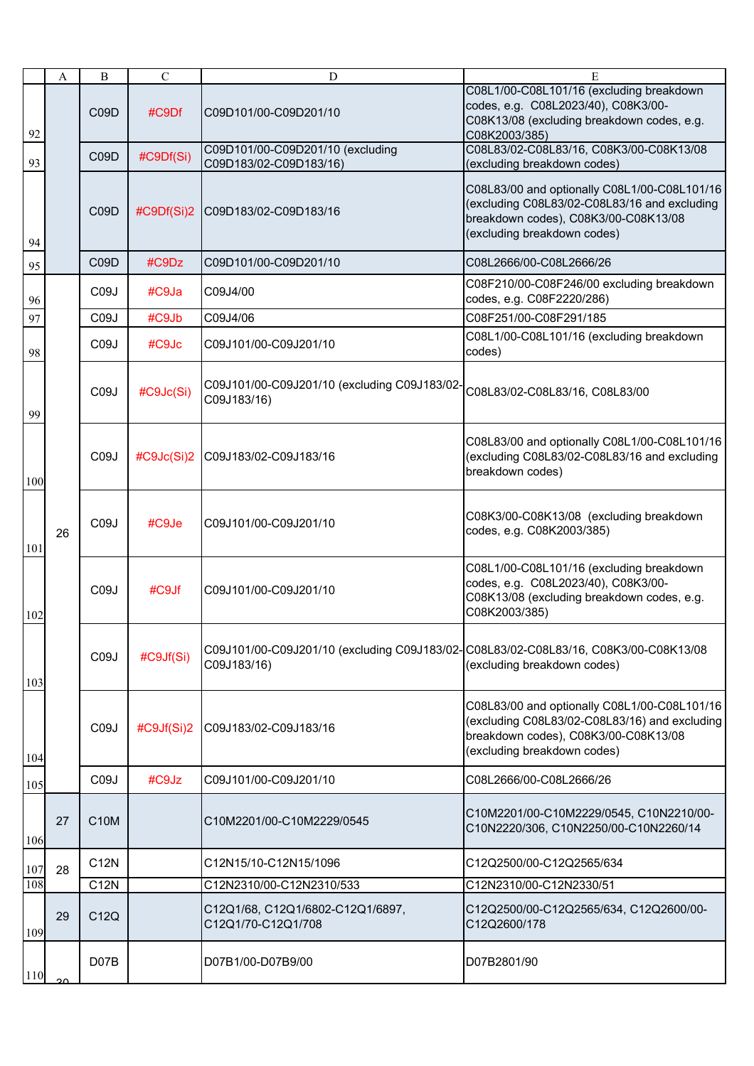|     | A  | $\bf{B}$          | $\mathbf C$   | D                                                                                                  | E                                                                                                                                                                    |
|-----|----|-------------------|---------------|----------------------------------------------------------------------------------------------------|----------------------------------------------------------------------------------------------------------------------------------------------------------------------|
| 92  |    | C09D              | #C9Df         | C09D101/00-C09D201/10                                                                              | C08L1/00-C08L101/16 (excluding breakdown<br>codes, e.g. C08L2023/40), C08K3/00-<br>C08K13/08 (excluding breakdown codes, e.g.<br>C08K2003/385)                       |
| 93  |    | C <sub>09</sub> D | #C9Df(Si)     | C09D101/00-C09D201/10 (excluding<br>C09D183/02-C09D183/16)                                         | C08L83/02-C08L83/16, C08K3/00-C08K13/08<br>(excluding breakdown codes)                                                                                               |
| 94  |    | C09D              | #C9Df(Si)2    | C09D183/02-C09D183/16                                                                              | C08L83/00 and optionally C08L1/00-C08L101/16<br>(excluding C08L83/02-C08L83/16 and excluding<br>breakdown codes), C08K3/00-C08K13/08<br>(excluding breakdown codes)  |
| 95  |    | C09D              | #C9Dz         | C09D101/00-C09D201/10                                                                              | C08L2666/00-C08L2666/26                                                                                                                                              |
| 96  |    | C <sub>0</sub> 9J | #C9Ja         | C09J4/00                                                                                           | C08F210/00-C08F246/00 excluding breakdown<br>codes, e.g. C08F2220/286)                                                                                               |
| 97  |    | C <sub>0</sub> 9J | #C9Jb         | C09J4/06                                                                                           | C08F251/00-C08F291/185                                                                                                                                               |
| 98  |    | C <sub>0</sub> 9J | #C9Jc         | C09J101/00-C09J201/10                                                                              | C08L1/00-C08L101/16 (excluding breakdown<br>codes)                                                                                                                   |
| 99  |    | C <sub>0</sub> 9J | #C9Jc(Si)     | C09J101/00-C09J201/10 (excluding C09J183/02-<br>C09J183/16)                                        | C08L83/02-C08L83/16, C08L83/00                                                                                                                                       |
| 100 |    | C <sub>0</sub> 9J | #C9Jc(Si)2    | C09J183/02-C09J183/16                                                                              | C08L83/00 and optionally C08L1/00-C08L101/16<br>(excluding C08L83/02-C08L83/16 and excluding<br>breakdown codes)                                                     |
| 101 | 26 | C <sub>0</sub> 9J | #C9Je         | C09J101/00-C09J201/10                                                                              | C08K3/00-C08K13/08 (excluding breakdown<br>codes, e.g. C08K2003/385)                                                                                                 |
| 102 |    | C <sub>0</sub> 9J | #C9Jf         | C09J101/00-C09J201/10                                                                              | C08L1/00-C08L101/16 (excluding breakdown<br>codes, e.g. C08L2023/40), C08K3/00-<br>C08K13/08 (excluding breakdown codes, e.g.<br>C08K2003/385)                       |
| 103 |    | C <sub>0</sub> 9J | #C9Jf(Si)     | C09J101/00-C09J201/10 (excluding C09J183/02-C08L83/02-C08L83/16, C08K3/00-C08K13/08<br>C09J183/16) | (excluding breakdown codes)                                                                                                                                          |
| 104 |    | C <sub>0</sub> 9J | $\#C9Jf(Si)2$ | C09J183/02-C09J183/16                                                                              | C08L83/00 and optionally C08L1/00-C08L101/16<br>(excluding C08L83/02-C08L83/16) and excluding<br>breakdown codes), C08K3/00-C08K13/08<br>(excluding breakdown codes) |
| 105 |    | C <sub>0</sub> 9J | #C9Jz         | C09J101/00-C09J201/10                                                                              | C08L2666/00-C08L2666/26                                                                                                                                              |
| 106 | 27 | <b>C10M</b>       |               | C10M2201/00-C10M2229/0545                                                                          | C10M2201/00-C10M2229/0545, C10N2210/00-<br>C10N2220/306, C10N2250/00-C10N2260/14                                                                                     |
| 107 | 28 | C12N              |               | C12N15/10-C12N15/1096                                                                              | C12Q2500/00-C12Q2565/634                                                                                                                                             |
| 108 |    | C12N              |               | C12N2310/00-C12N2310/533                                                                           | C12N2310/00-C12N2330/51                                                                                                                                              |
| 109 | 29 | C12Q              |               | C12Q1/68, C12Q1/6802-C12Q1/6897,<br>C12Q1/70-C12Q1/708                                             | C12Q2500/00-C12Q2565/634, C12Q2600/00-<br>C12Q2600/178                                                                                                               |
| 110 |    | D <sub>07</sub> B |               | D07B1/00-D07B9/00                                                                                  | D07B2801/90                                                                                                                                                          |